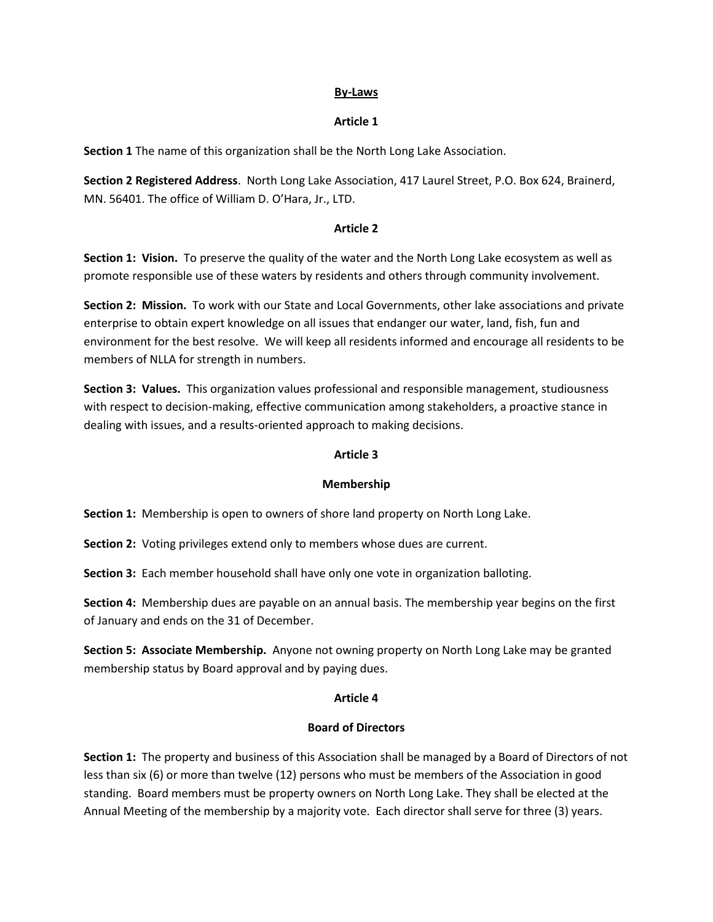#### **By-Laws**

#### **Article 1**

**Section 1** The name of this organization shall be the North Long Lake Association.

**Section 2 Registered Address**. North Long Lake Association, 417 Laurel Street, P.O. Box 624, Brainerd, MN. 56401. The office of William D. O'Hara, Jr., LTD.

#### **Article 2**

**Section 1: Vision.** To preserve the quality of the water and the North Long Lake ecosystem as well as promote responsible use of these waters by residents and others through community involvement.

**Section 2: Mission.** To work with our State and Local Governments, other lake associations and private enterprise to obtain expert knowledge on all issues that endanger our water, land, fish, fun and environment for the best resolve. We will keep all residents informed and encourage all residents to be members of NLLA for strength in numbers.

**Section 3: Values.** This organization values professional and responsible management, studiousness with respect to decision-making, effective communication among stakeholders, a proactive stance in dealing with issues, and a results-oriented approach to making decisions.

#### **Article 3**

#### **Membership**

**Section 1:** Membership is open to owners of shore land property on North Long Lake.

**Section 2:** Voting privileges extend only to members whose dues are current.

**Section 3:** Each member household shall have only one vote in organization balloting.

**Section 4:** Membership dues are payable on an annual basis. The membership year begins on the first of January and ends on the 31 of December.

**Section 5: Associate Membership.** Anyone not owning property on North Long Lake may be granted membership status by Board approval and by paying dues.

#### **Article 4**

## **Board of Directors**

**Section 1:** The property and business of this Association shall be managed by a Board of Directors of not less than six (6) or more than twelve (12) persons who must be members of the Association in good standing. Board members must be property owners on North Long Lake. They shall be elected at the Annual Meeting of the membership by a majority vote. Each director shall serve for three (3) years.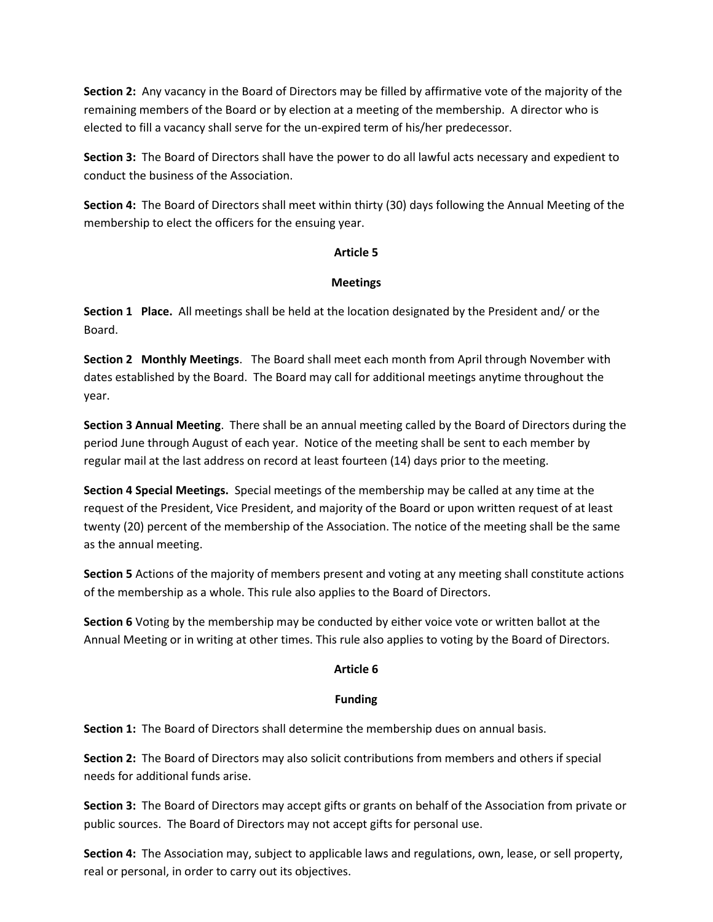**Section 2:** Any vacancy in the Board of Directors may be filled by affirmative vote of the majority of the remaining members of the Board or by election at a meeting of the membership. A director who is elected to fill a vacancy shall serve for the un-expired term of his/her predecessor.

**Section 3:** The Board of Directors shall have the power to do all lawful acts necessary and expedient to conduct the business of the Association.

**Section 4:** The Board of Directors shall meet within thirty (30) days following the Annual Meeting of the membership to elect the officers for the ensuing year.

## **Article 5**

# **Meetings**

**Section 1 Place.** All meetings shall be held at the location designated by the President and/ or the Board.

**Section 2 Monthly Meetings**. The Board shall meet each month from April through November with dates established by the Board. The Board may call for additional meetings anytime throughout the year.

**Section 3 Annual Meeting**. There shall be an annual meeting called by the Board of Directors during the period June through August of each year. Notice of the meeting shall be sent to each member by regular mail at the last address on record at least fourteen (14) days prior to the meeting.

**Section 4 Special Meetings.** Special meetings of the membership may be called at any time at the request of the President, Vice President, and majority of the Board or upon written request of at least twenty (20) percent of the membership of the Association. The notice of the meeting shall be the same as the annual meeting.

**Section 5** Actions of the majority of members present and voting at any meeting shall constitute actions of the membership as a whole. This rule also applies to the Board of Directors.

**Section 6** Voting by the membership may be conducted by either voice vote or written ballot at the Annual Meeting or in writing at other times. This rule also applies to voting by the Board of Directors.

# **Article 6**

# **Funding**

**Section 1:** The Board of Directors shall determine the membership dues on annual basis.

**Section 2:** The Board of Directors may also solicit contributions from members and others if special needs for additional funds arise.

**Section 3:** The Board of Directors may accept gifts or grants on behalf of the Association from private or public sources. The Board of Directors may not accept gifts for personal use.

**Section 4:** The Association may, subject to applicable laws and regulations, own, lease, or sell property, real or personal, in order to carry out its objectives.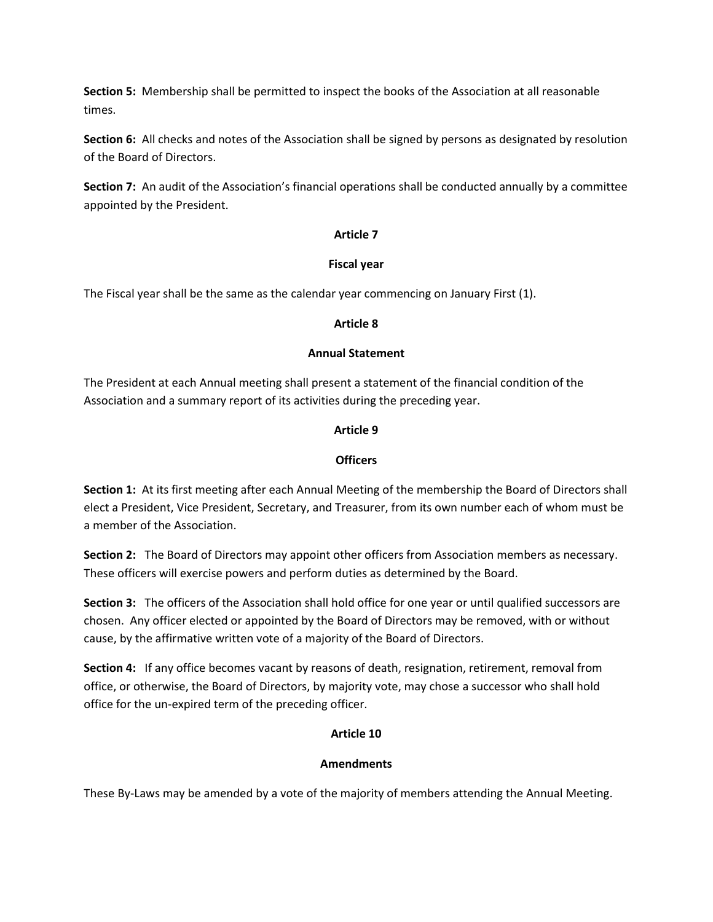**Section 5:** Membership shall be permitted to inspect the books of the Association at all reasonable times.

**Section 6:** All checks and notes of the Association shall be signed by persons as designated by resolution of the Board of Directors.

**Section 7:** An audit of the Association's financial operations shall be conducted annually by a committee appointed by the President.

## **Article 7**

## **Fiscal year**

The Fiscal year shall be the same as the calendar year commencing on January First (1).

# **Article 8**

## **Annual Statement**

The President at each Annual meeting shall present a statement of the financial condition of the Association and a summary report of its activities during the preceding year.

# **Article 9**

# **Officers**

**Section 1:** At its first meeting after each Annual Meeting of the membership the Board of Directors shall elect a President, Vice President, Secretary, and Treasurer, from its own number each of whom must be a member of the Association.

**Section 2:** The Board of Directors may appoint other officers from Association members as necessary. These officers will exercise powers and perform duties as determined by the Board.

**Section 3:** The officers of the Association shall hold office for one year or until qualified successors are chosen. Any officer elected or appointed by the Board of Directors may be removed, with or without cause, by the affirmative written vote of a majority of the Board of Directors.

**Section 4:** If any office becomes vacant by reasons of death, resignation, retirement, removal from office, or otherwise, the Board of Directors, by majority vote, may chose a successor who shall hold office for the un-expired term of the preceding officer.

# **Article 10**

# **Amendments**

These By-Laws may be amended by a vote of the majority of members attending the Annual Meeting.